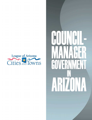

# $H$ ARZONA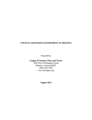# **COUNCIL-MANAGER GOVERNMENT IN ARIZONA**

Prepared by

# **League of Arizona Cities and Towns**

1820 West Washington Street Phoenix, Arizona 85007 (602) 258-5786 www.azleague.org

**August 2013**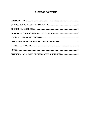# **TABLE OF CONTENTS**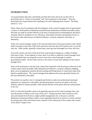# **INTRODUCTION**

Local government advocates consistently proclaim that cities and towns are the level of government that is "closest to the people" and "most responsive to the people." Does the municipal form of government have anything to do with validating those truisms? The likely answer is, "yes."

Those claims may be consistent with the emergence of the council-manager form of government: a system in which political leadership and professional leadership are blended and public policy decisions are made by elected officials on the basis of professional recommendations and advice using the objective standards of cost, efficiency, measurable outcomes and optimum service to the citizens rather than because of political influence, cronyism, nepotism, favoritism, or dishonesty.

Today, the council-manager system is the most prevalent form of local government in the United States (existing in more than 3,500 cities and towns and more than 370 counties), but it is not the only one. Other models, generally created many years ago and unchanged over time, still exist.

Across the country, the issue of the local form of government emerges as a subject of debate from time to time. In the majority of cases, there is an effort to adopt the council-manager form, but occasionally there are proposals to move away from council-manager to another governmental model. On the whole, however, the trend is toward more adoption of the councilmanager form.

Some of the motivation to use this form comes from frustration with the practices observed in the current system which the public finds distasteful and offensive: cronyism, influence peddling, graft, secret arrangements, partisan decision making and hiring based on connections rather than objective qualifications. The council-manager form addresses the issues generally found to be the most distasteful to the public.

The system is not perfect, but it is designed specifically to make sure professional municipal employees are responsive to the public and that government resources are spent in the most efficient, objective manner possible, while elected officials set the policy direction and priorities of the city.

Why is it then that the public seems to be generally unaware of the council-manager form, and sees the position of Mayor as the "boss of the city?" Perhaps because chief executives at the state and national level do have a higher profile management role, or because a colorful, flamboyant stereotypical Mayor makes a more appealing character for movies or novels, and that the strong mayor form still remains more common in the eastern part of the country and in many of the nation's largest cities.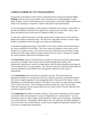# **VARIOUS FORMS OF CITY MANAGEMENT**

Incorporated communities in early America conducted business primarily through the **Town Meeting** system in which every member of the community was a voting delegate at a large public meeting. There are still remnants of this system today in some New England states where annual Town meetings are required to conduct some kinds of municipal business.

As local governments developed, a small number of individuals were elected as "Selectmen" to provide for fulfillment of the directives approved by citizens at the Town Hall. Today, some states still retain the title of Selectman for members of their city councils.

As cities grew and the need arose to provide a greater level of urban services, more and more people were needed to administer them. This led to the "long ballot" election in which a large number of candidates vied for the right to run certain city departments.

A movement emerged advocating a "short ballot" so that voters could be more informed about the various candidates for local office. Over time, some cities adopted a ward system to elect members of a common council. The voters in each ward would have fewer decisions to make, but there were still a large number of people elected to the city council. Chicago, for example, has council members elected from 50 separate wards.

The **Weak Mayor** system is found primarily in small towns that do not have the organizational structure for a manager. In this system council members handle both the policy and administrative operations of various city departments, while the Mayor presides at meetings and is the ceremonial face of city government. The collective council has relatively limited influence since the individual council members have management authority for their scope of responsibility.

In the **Strong Mayor** form, the roles are essentially reversed. The elected Mayor has management authority for all operations of the city while the council has only limited authority. This system is highly dependent on the management skills of the person in the Mayor's office. Depending on the administrative qualities of the Mayor, this system can either function smoothly or be a virtual train wreck. And, it changes each time someone new comes into the office. Under the strong mayor form, the government can be no more effective than the individual that currently occupies the office.

The **Commission** form offers yet another variation. In this system, individual council members are elected to direct the operations of various city departments as "commissioners." In a few commission cities, the mayor assigns council members to head various city bureaus. Depending on a council member's relationship with the Mayor, they may either get a desirable assignment such as the Police, Fire or Parks Bureaus, or they may be assigned less glamorous functions such as the Sewer or Solid Waste Departments.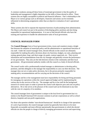A common weakness among all these forms of municipal government is that the quality of leadership and management is highly dependent on the skills of those elected to office. These systems also are highly susceptible to political and financial influence. One's relationship to the Mayor or to various groups such as developers, financiers and unions can be extremely influential in determining assignments rather than an objective evaluation of one's operational skills.

These systems also fail to separate the important functions of policymaking from administration. The Mayor and council are put in the position of developing policy positions and also being responsible for operational implementation. It is rare to find elected officials who have the training and experience to handle the administrative tasks of local government.

# **COUNCIL-MANAGER FORM**

The **Council-Manager** form of local government (cities, towns and counties) creates a bright line between the adoption of municipal policy and the administrative or operational functions of city staff. Under the council-manager form, elected officials on the council are ultimately responsible for making the policy decisions about city functions, budgets, tax rates, planning and zoning, general plans, long- and short-range city goals, contract approvals, etc. They receive information and recommendations from the city manager and generally oversee the performance of city government. They also are the link between citizens in the community and their local government. All governmental authority resides with the council as a body of elected officials.

The council works with a professionally-trained manager or administrator to develop policy positions, and then delegates to the manager the responsibility to carry out their decisions. The manager does not set or make policy decisions, but is the person primarily responsible for making policy recommendations and for carrying out the decisions of the council.

The manager and his or her management team have responsibility for hiring and firing personnel, for managing city operations within the council-approved budget and for implementing the various day-to-day services of the city. The manager and his or her staff do the background research on various topics in order to present the council with objective pros and cons on policy alternatives. He or she serves at the pleasure of the council and can be dismissed at any time with the vote of a majority of its members.

The council-manager form of government is unique to the local level in government but it is similar to the Board/Chairman/CEO structure common in private corporations as well as school districts, hospitals and non-profit organizations.

For those who question whether "non-elected bureaucrats" should be in charge of the operations of a unit of government, the council-manager system has generally been shown to be more financially accountable and more efficient operationally than governments in which the elected officials are also the people in charge of directly managing government services and supervising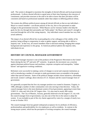staff. The system is designed to maximize the strengths of elected officials and local government professionals. It allows elected officials to spend more of their time listening to the concerns of constituents, and provides structure to the staff to be able to know that their job duties will be consistent and based on professional standards rather than subject to differing political whims.

The system also diffuses political power among all elected officials so that no one individual— Mayor or council member—can dictate policies of the city, hire or fire personnel or make changes in the governmental structure. While Mayors can be visionary leaders who help the goals for the city through their personality and "bully pulpit," the Mayor and council's strength is exercised through the will of the voting majority. Any individual council member has very little actual authority.

The impact of an elected official lies in persuading his or her colleagues of the validity of his position, being willing to compromise in order to gather support, and being able to deliver a majority vote. In that way, all council members share in decision-making, bringing their unique background and experience to the group. In American political spheres the majority rules, individuals do not.

# **HISTORY OF COUNCIL-MANAGER GOVERNMENT**

The council-manager structure is one of the products of the Progressive Movement in the United States during the late  $19<sup>th</sup>$  and early  $20<sup>th</sup>$  centuries. In general, the movement was a reaction against dominant political bosses and machines, corporate corruption and monopolies, "robber barons" and oppressive working conditions.

Reformers were successful in making a series of changes to social and corporate institutions as well as introducing a number of concepts to make government more accountable to the people rather than special interests. Some of the political changes include citizen initiatives, referendum and recall, women's suffrage, direct election of U.S. Senators and the council-manager form of government.

It is generally accepted that the first city manager position was created in Staunton, Virginia, in 1908, although a number of other communities were also moving in that direction. Today, the council-manager form is the most dominant system of local government, appearing in more than 3,500 U.S. cities and 144 of the 247 largest cities. It is also used in nearly 400 county governments. The City of Phoenix, Arizona, generally believed to be the largest U.S. city with the council-manager form of government, was also one of the first in the nation to adopt the system. It was included as part of the city charter approved by voters by a margin of nearly twoto-one in October 1913.

The council-manager form has gained widespread acceptance for its attributes of efficiency, professionalism and predictability for city employees as well as residents. In contrast to the strong mayor system, which has the perception of inviting corruption, the council-manager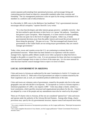system separates policymaking from operational processes, and encourages hiring and contracting practices based on objective, measurable standards rather than cronyism and friendship. The city management profession is also set apart by the strong commitment of its members to a uniform code of ethical behavior.

In a December 6, 2009, story in the *Baltimore Sun* headlined, "City's governmental structure encourages official corruption," reporter David B. Levy writes:

"It is clear that developers and other interest groups perceive—probably correctly—that the best method to gain decisions in their favor is to 'grease' the pathway. Sometimes that grease is pure corruption. More frequently, it is some version of interest peddling that does not quite rise to the level of outright corruption. Either way, it bends governmental decisions away from the public interest and toward the private interest of those doing the greasing." He goes on to say, "The best-managed and cleanest local governments in the United States are not strong-mayor governments; they are councilmanager governments."

Today, cities, towns and counties across the U.S. are continuing to evaluate their local governmental structure. Where there has been limited or no experience with the councilmanager form, vigorous public debates usually occur when a proposal to adopt that form is brought to the public or council for a vote. It is not uncommon for those who have no experience with the council-manager form to reject it in favor of the status quo. It is far more unusual for cities that have had the council-manager form to reject it in favor of others.

# **LOCAL GOVERNMENT IN ARIZONA**

Cities and towns in Arizona are authorized by the state Constitution in Article 13; Counties are authorized in Article 12. Both units of local government are subject to statutes enacted by the State Legislature and, as such, are considered political subdivisions of the state.

Cities and towns are voluntary units of government, created by the people who live in the same geographic area and who decide to incorporate. To incorporate as a town in Arizona requires a minimum population of [1](#page-12-0),500; a city requires  $3,000$ .<sup>1</sup> Cities may adopt a charter, similar to a local constitution, which specifies structural and organizational procedures for the city. Charters are adopted by a vote of the people and any amendments must also be voted on by the people. $<sup>2</sup>$  $<sup>2</sup>$  $<sup>2</sup>$ </sup>

There are 19 charter cities in Arizona; all the rest are considered "general law" cities and towns and operate under the authority of the Arizona Revised Statutes. Among other things, charter provisions may: specify the city governmental structure, impose council and mayoral term limits,

<sup>&</sup>lt;sup>1</sup> For a more complete discussion of incorporation procedures, see the League publication, "Municipal Incorporation in Arizona."

<span id="page-7-1"></span><span id="page-7-0"></span><sup>&</sup>lt;sup>2</sup> For a more complete discussion of city charters, see the League publication "Charter Government Provisions in Arizona Cities."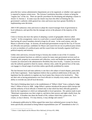prescribe how various administrative departments are to be organized, or whether voter approval is required to impose certain taxes. The Arizona Constitution describes a charter as being the "organic law" of the city. There are specific procedures for developing and adopting a charter in Article 13, Section 2. In some ways the charter may have the effect of limiting the city government's authority while general law cities and towns may have greater flexibility in implementing some decisions.

ARS 9-303 authorizes cities and towns to adopt the council-manager form of government in local ordinances, and specifies that the manager serves at the pleasure of the majority of the council.

Cities in Arizona also have the option of adopting a system of geographic districts called "wards." In this arrangement, voters in a ward select a council member to represent them rather than having all council members elected at large by all voters. In the ward system, only the Mayor is selected at large. In Arizona, all municipal governments except for the City of Tucson are officially non-partisan; candidates for Mayor and council do not run on political party tickets or serve as members of a political party and the council does not formally organize itself into a political majority and minority.

Unlike cities and towns, everyone living in Arizona also resides in one of the 15 counties. County government functions as a delivery system for many state government services such as elections, jails, property tax assessment and collection, courts and healthcare among other items. Counties are restricted in the administrative flexibility they have locally. Counties can exercise only the authority granted to them by statute, whereas cities, under the general laws of the state, can engage in a broad range of activities unless specifically prohibited by statute.

The line between local and state authority is one that is the subject of much dispute, particularly at the State Legislature. Some legislators believe that as political subdivisions of the state, the legislature has the authority to regulate any local matter they choose to be involved in. They see their role as having preeminence over local officials in virtually every matter, and claim the ability to override any and all local decisions.

This kind of thinking dates back to the establishment of "Dillon's Rule" from a ruling by Judge John F. Dillon of Iowa in 1868. Judge Dillon's opinion introduced the parent-child concept and said the authority of local officials is limited only to that which has been officially granted to them by the Legislature or which are indispensable to local operations. His opinion reads in part: "Municipal corporations owe their origin to, and derive their powers and rights wholly from, the Legislature. It breathes into them the breath of life, without which they cannot exist. As it creates, so may it destroy. If it may destroy, it may abridge and control."[3](#page-7-1)

A subsequent publication by Dillon argued that states have unlimited power except for those items specifically articulated as being federal responsibilities (see  $10<sup>th</sup>$  Amendment to the U.S.

<span id="page-8-0"></span> <sup>3</sup> *Clinton v Cedar Rapids and the Missouri River Railroad*, (24 Iowa 455; 1868).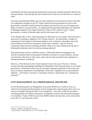Constitution), but that municipal governments have only power expressly granted to them by the state government. This principle has been reinforced over time by court decisions in a variety of states.

It has been speculated that Dillon may have been influenced in his decision by the fact that there was widespread corruption in late  $19<sup>th</sup>$  century American local government (as well as state government, it should be noted) and that this opinion may have been his way of bringing some degree of reform to city government. An opposing local government philosophy was expressed by Michigan Supreme Court Judge Thomas M. Cooley in 1871 when he wrote: "[L]ocal government is a matter of absolute right; and the state cannot take it away."[4](#page-8-0)

A few decades later in 1912, when the Progressive Movement was at its peak, Arizona became a state and its Constitution, adopted in 1911, became effective. As noted earlier, a number of components of the Progressive Movement platform, such as initiative, referendum and recall, were included in the Arizona Constitution, which raises a question. Does the Arizona Constitution follow the line of thinking of Dillon's Rule or is it more influenced by the line of thinking that authorizes more local decision making authority?

That question does not have a definitive answer. While some believe the language in the Arizona Constitution leans toward greater flexibility on the part of city governments, Arizona court decisions, like those in other states, tend to tip the scales toward the state Legislature as having preeminence in authority.

However, a 2012 decision by the Arizona Supreme Court in the case of Tucson v. Arizona contains the following language regarding the relationship of the state government to city charter governments: "Nineteenth century case law and legal commentary generally viewed cities and towns as entirely subordinate to and dependent on the state's legislature for any governmental Authority…The framers of Arizona's Constitution, however, rejected that view, valuing local autonomy."<sup>[5](#page-9-0)</sup>

# **CITY MANAGEMENT AS A PROFESSIONAL DISCIPLINE**

In 1914 the International City Management Association (ICMA) was created to serve as a vehicle for promoting and advancing the council-manager form of government and to serve as a resource for people entering the field of city management. Since then, ICMA has provided a continuing program of technical information, management resources and educational programs to its members. Today, ICMA has more than 9,000 members serving cities, towns and counties across the U.S. and around the world.

<span id="page-9-1"></span><span id="page-9-0"></span><sup>4</sup> *People v. Hurlbut*, (24 Mich 44, 95; 1871). <sup>5</sup> *City of Tucson v. State* (229 Ariz. 172, 273 P.3d 624; 2012)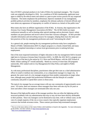One of ICMA's principal products is its Code of Ethics for municipal managers. The 12-point code was originally developed in 1924. As a condition of ICMA membership, applicants must agree to abide by the ethical tenets and submit to a peer-to-peer review process for any suspected violations. The tenets emphasize the professional, objective standards of city management, prohibit political activities by members, emphasize the ultimate authority of elected officials and warn about any appearance of impropriety or conflict of interest as a breach of the public trust.<sup>[6](#page-9-1)</sup>

Most states also have an affiliate organization of the ICMA. In Arizona, that organization is the Arizona City-County Management Association (ACMA).<sup>[7](#page-10-0)</sup> The ACMA holds two major conferences annually as well as hosting other special meetings and an electronic listserv where members can post questions and receive advice from their Arizona colleagues. ACMA provides valuable information and networking resource for managers, helping them learn the latest and best practices of the city management profession and avoid "reinventing the wheel."

As a general rule, people entering the city management profession today have completed a Master of Public Administration (M.P.A.) degree program or a closely related field, and many have also completed internships at various local governments prior to seeking full-time employment.

One of the most respected institutions of higher education in the city management field is located right here in Arizona at Arizona State University (ASU). In 2009, the ASU M.P.A. program was listed as one of the best in the nation by *U.S. News and World Report*, with the ASU School of Public Affairs ranking 25<sup>th</sup> overall nationally. Based on a survey of more than 250 programs nationwide, ASU ranked sixth in City Management & Urban Policy and eighth in Public Management.

As with many professional disciplines, practitioners often get their start as a chief administrative officer in small or medium size communities, or as a department manager in a larger city. In general, the career track of a city manager progresses from smaller communities to larger urban ones, although many people find professional fulfillment with the lifestyle of a smaller community and prefer to spend their careers in those areas.

The typical city manager has an average tenure with any one community of approximately seven years. Of course, there are instances where managers have been with one city for 20 years or more and others where managers are terminated after only one year.

Because of the high profile nature of the manager position, they are often the lightning rod for structural problems with city administration that may or may not have been directly attributable to their position. Since city managers can be dismissed at any time, with or without cause, on the vote of a simple majority of the city or town council, they typically negotiate employment contracts that include severance terms. These contract provisions help terminated managers

<sup>&</sup>lt;sup>6</sup> The text of the latest edition of the Code of Ethics with Guidelines is found in the Appendix. For more information on the ICMA, visit their website at: <u>http://icma.org/main/sc.asp</u><br><sup>7</sup> <http://www.azmanagement.org/>

<span id="page-10-0"></span>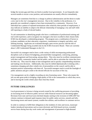bridge the income gap until they are hired at another local government. It can frequently take several months to secure a new position, and terminations are usually effective immediately.

Managers are sometimes fired due to a change in political administration and the desire to make a new start in the city's management structure. Due to the volatility in the profession, it is generally not considered a stigma to have been terminated by a community. However, if an individual has a pattern of repeated terminations after relatively short periods of employment, it may indicate an inability to adapt to the delicate relationship of managing a city and staff while still reporting to a body of elected leaders.

To aid communities in identifying people who have a combination of professional training and real world experience, and to recognize city managers who have excelled in their chosen field, ICMA has developed a credentialing program. The program uses a combination of factors to evaluate candidates on their education, experience, commitment to integrity and ethics, and lifelong learning. Applicants are evaluated through a peer-review process with the title of Credentialed Manager being awarded only by the ICMA Executive Board. There are currently about 1,200 Credentialed Managers in the U.S.

Successful city managers tend to have a wide variety of skills encompassing professional disciplines such as finance & budgeting, personnel/labor management, contracting, planning, project management and forecasting, among others. They also must be excellent communicators with their staffs, community leaders and the public, and be able to articulate the vision they have for their city. They must be adept at time management and in quickly comprehending situations and making wise decisions. Additionally, they must be skilled diplomatically in dealing with a sometimes-changing and often volatile mix of personalities on the council, and be able to maintain positive relationships with them all. Successful managers tend to avoid the limelight of public attention and give credit to the elected officials for successes of the city.

City management can be a highly rewarding yet also frustrating career. Those who master the job can take great pride in bringing a high quality of life to the communities in which they serve, and in leaving the world a better place than what they found.

# **FUTURE CHALLENGES**

Local government in Arizona is being severely tested by the conflicting pressures of providing an increasing level of effective public services while financial resources are becoming tighter. Revenues from state and local taxes declined sharply starting in the recession of 2006-2007 but citizens continue to demand rapid response times for public safety services, smooth and fullyfunctioning streets and transit systems, trouble-free utilities, and excellence in customer service.

In order to continue to fulfill their obligations to the residents of cities and towns, municipal leaders introduced innovations such as more electronic and Web-based services, extended service hours during four-day work weeks and reassignment of personnel to high-demand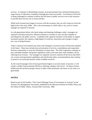services. In response to diminishing revenues, local governments have instituted hiring freezes, wage freezes or reductions, mandatory furlough days and even layoffs. Government at all levels is being challenged to continue to deliver the full menu of public services even as the resources to provide those services are in serious decline.

While local revenues have begun to recover with the economy, they are still a long way from the high levels of the early 2000s. This is the environment in which today's city, town or county manager are required to function.

As with generations before who faced unique and daunting challenges, today's managers are required to develop innovative, efficient solutions to continue to carry out their mandate of providing first-rate public services. Combined with a general resistance of the public to support increased taxation, this requires a high degree of creativity, innovation and courage to forge a new way of doing business.

Today's financial environment may lead to the emergence of practices that will become standard in the future. These may include more privatization of services, consolidation and cooperation between communities or even the elimination of some items. The State Legislature continues to pass unfunded mandates and greater regulations while at the same time some members call for reducing local revenues. City managers are regularly forced to confront all the forces that affect city revenue and operational capabilities and still develop policy recommendations that continue to preserve our municipal mission within available resources.

As the council-manager form of local government begins its second century of practice, it will remain a model of governmental efficiency, planning, integrity and service. As long as honest, skilled and self-sacrificial people choose to make it their profession, the future of our cities is in good hands.

# **NOTES**

<span id="page-12-0"></span>Based in part on the booklet, "The Council-Manager Form of Government in Arizona" by the Arizona City Management Association; published by the Morrison Institute for Public Policy and the School of Public Affairs, Arizona State University, 1986.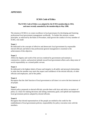# **ICMA Code of Ethics**

### **The ICMA Code of Ethics was adopted by the ICMA membership in 1924, and most recently amended by the membership in May 1998.**

The mission of ICMA is to create excellence in local governance by developing and fostering professional local government management worldwide. To further this mission, certain principles, as enforced by the Rules of Procedure, shall govern the conduct of every member of ICMA, who shall:

### **Tenet 1**

Be dedicated to the concepts of effective and democratic local government by responsible elected officials and believe that professional general management is essential to the achievement of this objective.

### **Tenet 2**

Affirm the dignity and worth of the services rendered by government and maintain a constructive, creative, and practical attitude toward local government affairs and a deep sense of social responsibility as a trusted public servant.

### **Tenet 3**

Be dedicated to the highest ideals of honor and integrity in all public and personal relationships in order that the member may merit the respect and confidence of the elected officials, of other officials and employees, and of the public.

### **Tenet 4**

Recognize that the chief function of local government at all times is to serve the best interests of all people.

### **Tenet 5**

Submit policy proposals to elected officials; provide them with facts and advice on matters of policy as a basis for making decisions and setting community goals; and uphold and implement local government policies adopted by elected officials.

### **Tenet 6**

Recognize that elected representatives of the people are entitled to the credit for the establishment of local government policies; responsibility for policy execution rests with the members.